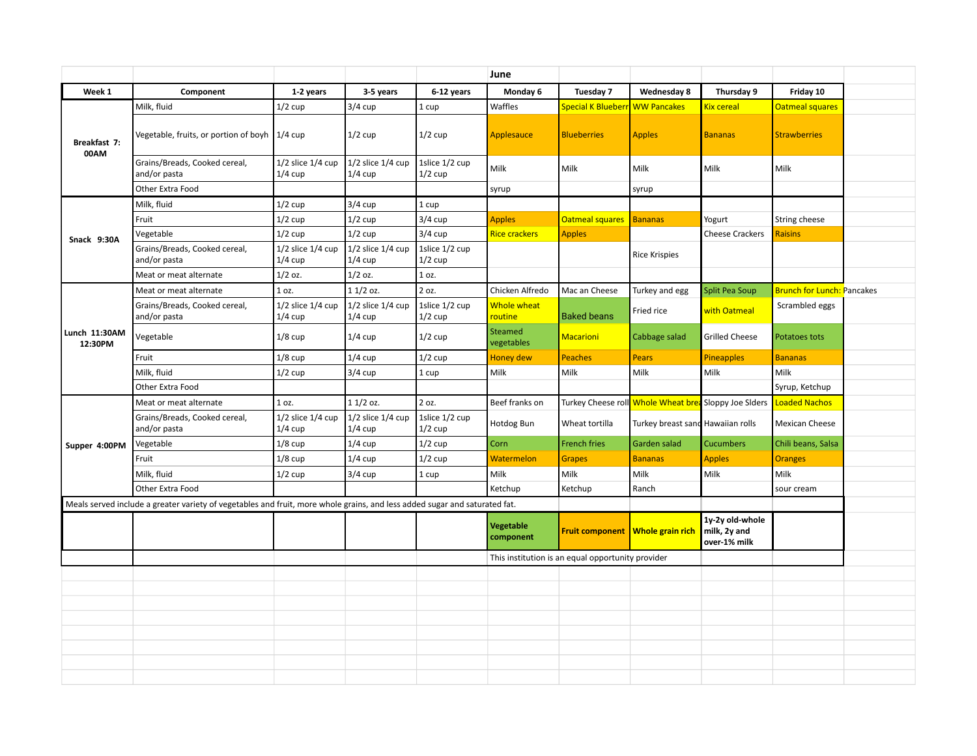|                          |                                                                                                                            |                                    |                                    |                             | June                          |                                                   |                                                       |                                                 |                                   |  |
|--------------------------|----------------------------------------------------------------------------------------------------------------------------|------------------------------------|------------------------------------|-----------------------------|-------------------------------|---------------------------------------------------|-------------------------------------------------------|-------------------------------------------------|-----------------------------------|--|
| Week 1                   | Component                                                                                                                  | 1-2 years                          | 3-5 years                          | 6-12 years                  | Monday 6                      | Tuesday 7                                         | Wednesday 8                                           | Thursday 9                                      | Friday 10                         |  |
|                          | Milk, fluid                                                                                                                | $1/2$ cup                          | $3/4$ cup                          | 1 cup                       | Waffles                       | Special K Blueberr <b>l</b> WW Pancakes           |                                                       | Kix cereal                                      | <b>Oatmeal squares</b>            |  |
| Breakfast 7:<br>00AM     | Vegetable, fruits, or portion of boyh 1/4 cup                                                                              |                                    | $1/2$ cup                          | $1/2$ cup                   | Applesauce                    | <b>Blueberries</b>                                | <b>Apples</b>                                         | <b>Bananas</b>                                  | <b>Strawberries</b>               |  |
|                          | Grains/Breads, Cooked cereal,<br>and/or pasta                                                                              | $1/2$ slice $1/4$ cup<br>$1/4$ cup | 1/2 slice 1/4 cup<br>$1/4$ cup     | 1slice 1/2 cup<br>$1/2$ cup | Milk                          | Milk                                              | Milk                                                  | Milk                                            | Milk                              |  |
|                          | Other Extra Food                                                                                                           |                                    |                                    |                             | syrup                         |                                                   | syrup                                                 |                                                 |                                   |  |
|                          | Milk, fluid                                                                                                                | $1/2$ cup                          | $3/4$ cup                          | 1 cup                       |                               |                                                   |                                                       |                                                 |                                   |  |
|                          | Fruit                                                                                                                      | $1/2$ cup                          | $1/2$ cup                          | $3/4$ cup                   | <b>Apples</b>                 | <b>Oatmeal squares</b>                            | <b>Bananas</b>                                        | Yogurt                                          | String cheese                     |  |
| Snack 9:30A              | Vegetable                                                                                                                  | $1/2$ cup                          | $1/2$ cup                          | $3/4$ cup                   | Rice crackers                 | <b>Apples</b>                                     |                                                       | <b>Cheese Crackers</b>                          | <b>Raisins</b>                    |  |
|                          | Grains/Breads, Cooked cereal,<br>and/or pasta                                                                              | $1/2$ slice $1/4$ cup<br>$1/4$ cup | $1/2$ slice $1/4$ cup<br>$1/4$ cup | 1slice 1/2 cup<br>$1/2$ cup |                               |                                                   | <b>Rice Krispies</b>                                  |                                                 |                                   |  |
|                          | Meat or meat alternate                                                                                                     | $1/2$ oz.                          | $1/2$ oz.                          | 1 oz.                       |                               |                                                   |                                                       |                                                 |                                   |  |
|                          | Meat or meat alternate                                                                                                     | 1 oz.                              | $11/2$ oz.                         | 2 oz.                       | Chicken Alfredo               | Mac an Cheese                                     | Turkey and egg                                        | <b>Split Pea Soup</b>                           | <b>Brunch for Lunch: Pancakes</b> |  |
|                          | Grains/Breads, Cooked cereal,<br>and/or pasta                                                                              | $1/2$ slice $1/4$ cup<br>$1/4$ cup | $1/2$ slice $1/4$ cup<br>$1/4$ cup | 1slice 1/2 cup<br>$1/2$ cup | Whole wheat<br>routine        | <b>Baked beans</b>                                | Fried rice                                            | with Oatmeal                                    | Scrambled eggs                    |  |
| Lunch 11:30AM<br>12:30PM | Vegetable                                                                                                                  | $1/8$ cup                          | $1/4$ cup                          | $1/2$ cup                   | Steamed<br>vegetables         | <b>Macarioni</b>                                  | Cabbage salad                                         | <b>Grilled Cheese</b>                           | Potatoes tots                     |  |
|                          | Fruit                                                                                                                      | $1/8$ cup                          | $1/4$ cup                          | $1/2$ cup                   | Honey dew                     | <b>Peaches</b>                                    | <b>Pears</b>                                          | <b>Pineapples</b>                               | <b>Bananas</b>                    |  |
|                          | Milk, fluid                                                                                                                | $1/2$ cup                          | $3/4$ cup                          | 1 cup                       | Milk                          | Milk                                              | Milk                                                  | Milk                                            | Milk                              |  |
|                          | Other Extra Food                                                                                                           |                                    |                                    |                             |                               |                                                   |                                                       |                                                 | Syrup, Ketchup                    |  |
|                          | Meat or meat alternate                                                                                                     | 1 oz.                              | $11/2$ oz.                         | 2 oz.                       | Beef franks on                |                                                   | Turkey Cheese roll Whole Wheat brea Sloppy Joe Slders |                                                 | <b>Loaded Nachos</b>              |  |
|                          | Grains/Breads, Cooked cereal,<br>and/or pasta                                                                              | $1/2$ slice $1/4$ cup<br>$1/4$ cup | $1/2$ slice $1/4$ cup<br>$1/4$ cup | 1slice 1/2 cup<br>$1/2$ cup | Hotdog Bun                    | Wheat tortilla                                    | Turkey breast sand Hawaiian rolls                     |                                                 | <b>Mexican Cheese</b>             |  |
| Supper 4:00PM            | Vegetable                                                                                                                  | $1/8$ cup                          | $1/4$ cup                          | $1/2$ cup                   | <b>Corn</b>                   | <b>French fries</b>                               | Garden salad                                          | <b>Cucumbers</b>                                | Chili beans, Salsa                |  |
|                          | Fruit                                                                                                                      | $1/8$ cup                          | $1/4$ cup                          | $1/2$ cup                   | Watermelon                    | <b>Grapes</b>                                     | <b>Bananas</b>                                        | <b>Apples</b>                                   | <b>Oranges</b>                    |  |
|                          | Milk, fluid                                                                                                                | $1/2$ cup                          | $3/4$ cup                          | 1 cup                       | Milk                          | Milk                                              | Milk                                                  | Milk                                            | Milk                              |  |
|                          | Other Extra Food                                                                                                           |                                    |                                    |                             | Ketchup                       | Ketchup                                           | Ranch                                                 |                                                 | sour cream                        |  |
|                          | Meals served include a greater variety of vegetables and fruit, more whole grains, and less added sugar and saturated fat. |                                    |                                    |                             |                               |                                                   |                                                       |                                                 |                                   |  |
|                          |                                                                                                                            |                                    |                                    |                             | <b>Vegetable</b><br>component |                                                   | Fruit component   Whole grain rich                    | 1y-2y old-whole<br>milk, 2y and<br>over-1% milk |                                   |  |
|                          |                                                                                                                            |                                    |                                    |                             |                               | This institution is an equal opportunity provider |                                                       |                                                 |                                   |  |
|                          |                                                                                                                            |                                    |                                    |                             |                               |                                                   |                                                       |                                                 |                                   |  |
|                          |                                                                                                                            |                                    |                                    |                             |                               |                                                   |                                                       |                                                 |                                   |  |
|                          |                                                                                                                            |                                    |                                    |                             |                               |                                                   |                                                       |                                                 |                                   |  |
|                          |                                                                                                                            |                                    |                                    |                             |                               |                                                   |                                                       |                                                 |                                   |  |
|                          |                                                                                                                            |                                    |                                    |                             |                               |                                                   |                                                       |                                                 |                                   |  |
|                          |                                                                                                                            |                                    |                                    |                             |                               |                                                   |                                                       |                                                 |                                   |  |
|                          |                                                                                                                            |                                    |                                    |                             |                               |                                                   |                                                       |                                                 |                                   |  |
|                          |                                                                                                                            |                                    |                                    |                             |                               |                                                   |                                                       |                                                 |                                   |  |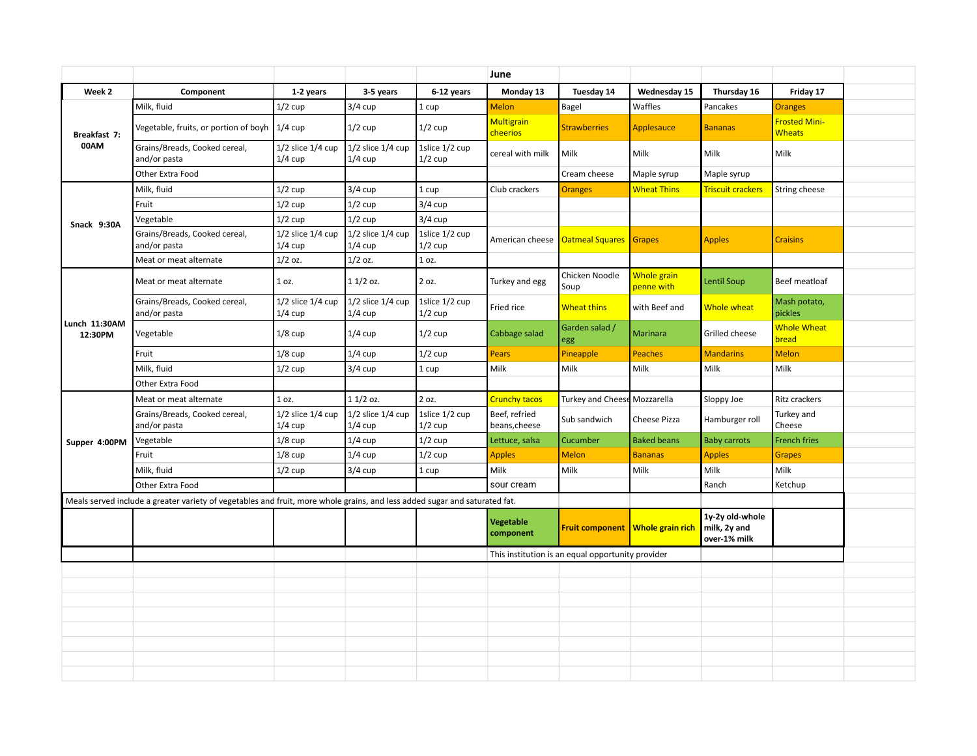|                          |                                                                                                                            |                                    |                                    |                             | June                           |                                                   |                                    |                                                 |                                       |  |
|--------------------------|----------------------------------------------------------------------------------------------------------------------------|------------------------------------|------------------------------------|-----------------------------|--------------------------------|---------------------------------------------------|------------------------------------|-------------------------------------------------|---------------------------------------|--|
| Week 2                   | Component                                                                                                                  | 1-2 years                          | 3-5 years                          | 6-12 years                  | Monday 13                      | Tuesday 14                                        | Wednesday 15                       | Thursday 16                                     | Friday 17                             |  |
|                          | Milk. fluid                                                                                                                | $1/2$ cup                          | $3/4$ cup                          | 1 cup                       | Melon                          | Bagel                                             | Waffles                            | Pancakes                                        | <b>Oranges</b>                        |  |
| Breakfast 7:<br>00AM     | Vegetable, fruits, or portion of boyh                                                                                      | $1/4$ cup                          | $1/2$ cup                          | $1/2$ cup                   | <b>Multigrain</b><br>cheerios  | <b>Strawberries</b>                               | Applesauce                         | <b>Bananas</b>                                  | <b>Frosted Mini-</b><br><b>Wheats</b> |  |
|                          | Grains/Breads, Cooked cereal,<br>and/or pasta                                                                              | $1/2$ slice $1/4$ cup<br>$1/4$ cup | $1/2$ slice $1/4$ cup<br>$1/4$ cup | 1slice 1/2 cup<br>$1/2$ cup | cereal with milk               | Milk                                              | Milk                               | Milk                                            | Milk                                  |  |
|                          | Other Extra Food                                                                                                           |                                    |                                    |                             |                                | Cream cheese                                      | Maple syrup                        | Maple syrup                                     |                                       |  |
|                          | Milk, fluid                                                                                                                | $1/2$ cup                          | $3/4$ cup                          | 1 cup                       | Club crackers                  | <b>Oranges</b>                                    | <b>Wheat Thins</b>                 | <b>Triscuit crackers</b>                        | String cheese                         |  |
|                          | Fruit                                                                                                                      | $1/2$ cup                          | $1/2$ cup                          | $3/4$ cup                   |                                |                                                   |                                    |                                                 |                                       |  |
| Snack 9:30A              | Vegetable                                                                                                                  | $1/2$ cup                          | $1/2$ cup                          | $3/4$ cup                   |                                |                                                   |                                    |                                                 |                                       |  |
|                          | Grains/Breads, Cooked cereal,<br>and/or pasta                                                                              | $1/2$ slice $1/4$ cup<br>$1/4$ cup | $1/2$ slice $1/4$ cup<br>$1/4$ cup | 1slice 1/2 cup<br>$1/2$ cup |                                | American cheese   Oatmeal Squares   Grapes        |                                    | <b>Apples</b>                                   | <b>Craisins</b>                       |  |
|                          | Meat or meat alternate                                                                                                     | $1/2$ oz.                          | $1/2$ oz.                          | 1 oz.                       |                                |                                                   |                                    |                                                 |                                       |  |
|                          | Meat or meat alternate                                                                                                     | $1$ oz.                            | $11/2$ oz.                         | 2 oz.                       | Turkey and egg                 | Chicken Noodle<br>Soup                            | Whole grain<br>penne with          | Lentil Soup                                     | Beef meatloaf                         |  |
|                          | Grains/Breads, Cooked cereal,<br>and/or pasta                                                                              | $1/2$ slice $1/4$ cup<br>$1/4$ cup | $1/2$ slice $1/4$ cup<br>$1/4$ cup | 1slice 1/2 cup<br>$1/2$ cup | Fried rice                     | <b>Wheat thins</b>                                | with Beef and                      | Whole wheat                                     | Mash potato,<br>pickles               |  |
| Lunch 11:30AM<br>12:30PM | Vegetable                                                                                                                  | $1/8$ cup                          | $1/4$ cup                          | $1/2$ cup                   | Cabbage salad                  | Garden salad /<br>egg                             | <b>Marinara</b>                    | Grilled cheese                                  | <b>Whole Wheat</b><br>bread           |  |
|                          | Fruit                                                                                                                      | $1/8$ cup                          | $1/4$ cup                          | $1/2$ cup                   | Pears                          | Pineapple                                         | Peaches                            | <b>Mandarins</b>                                | <b>Melon</b>                          |  |
|                          | Milk, fluid                                                                                                                | $1/2$ cup                          | $3/4$ cup                          | 1 cup                       | Milk                           | Milk                                              | Milk                               | Milk                                            | Milk                                  |  |
|                          | Other Extra Food                                                                                                           |                                    |                                    |                             |                                |                                                   |                                    |                                                 |                                       |  |
|                          | Meat or meat alternate                                                                                                     | 1 oz.                              | $11/2$ oz.                         | 2 oz.                       | Crunchy tacos                  | Turkey and Cheese Mozzarella                      |                                    | Sloppy Joe                                      | Ritz crackers                         |  |
|                          | Grains/Breads, Cooked cereal,<br>and/or pasta                                                                              | $1/2$ slice $1/4$ cup<br>$1/4$ cup | $1/2$ slice $1/4$ cup<br>$1/4$ cup | 1slice 1/2 cup<br>$1/2$ cup | Beef, refried<br>beans, cheese | Sub sandwich                                      | Cheese Pizza                       | Hamburger roll                                  | Turkey and<br>Cheese                  |  |
| Supper 4:00PM            | Vegetable                                                                                                                  | $1/8$ cup                          | $1/4$ cup                          | $1/2$ cup                   | Lettuce, salsa                 | Cucumber                                          | <b>Baked beans</b>                 | <b>Baby carrots</b>                             | <b>French fries</b>                   |  |
|                          | Fruit                                                                                                                      | $1/8$ cup                          | $1/4$ cup                          | $1/2$ cup                   | <b>Apples</b>                  | <b>Melon</b>                                      | <b>Bananas</b>                     | <b>Apples</b>                                   | <b>Grapes</b>                         |  |
|                          | Milk, fluid                                                                                                                | $1/2$ cup                          | $3/4$ cup                          | 1 cup                       | Milk                           | Milk                                              | Milk                               | Milk                                            | Milk                                  |  |
|                          | Other Extra Food                                                                                                           |                                    |                                    |                             | sour cream                     |                                                   |                                    | Ranch                                           | Ketchup                               |  |
|                          | Meals served include a greater variety of vegetables and fruit, more whole grains, and less added sugar and saturated fat. |                                    |                                    |                             |                                |                                                   |                                    |                                                 |                                       |  |
|                          |                                                                                                                            |                                    |                                    |                             | <b>Vegetable</b><br>component  |                                                   | Fruit component   Whole grain rich | 1y-2y old-whole<br>milk, 2y and<br>over-1% milk |                                       |  |
|                          |                                                                                                                            |                                    |                                    |                             |                                | This institution is an equal opportunity provider |                                    |                                                 |                                       |  |
|                          |                                                                                                                            |                                    |                                    |                             |                                |                                                   |                                    |                                                 |                                       |  |
|                          |                                                                                                                            |                                    |                                    |                             |                                |                                                   |                                    |                                                 |                                       |  |
|                          |                                                                                                                            |                                    |                                    |                             |                                |                                                   |                                    |                                                 |                                       |  |
|                          |                                                                                                                            |                                    |                                    |                             |                                |                                                   |                                    |                                                 |                                       |  |
|                          |                                                                                                                            |                                    |                                    |                             |                                |                                                   |                                    |                                                 |                                       |  |
|                          |                                                                                                                            |                                    |                                    |                             |                                |                                                   |                                    |                                                 |                                       |  |
|                          |                                                                                                                            |                                    |                                    |                             |                                |                                                   |                                    |                                                 |                                       |  |
|                          |                                                                                                                            |                                    |                                    |                             |                                |                                                   |                                    |                                                 |                                       |  |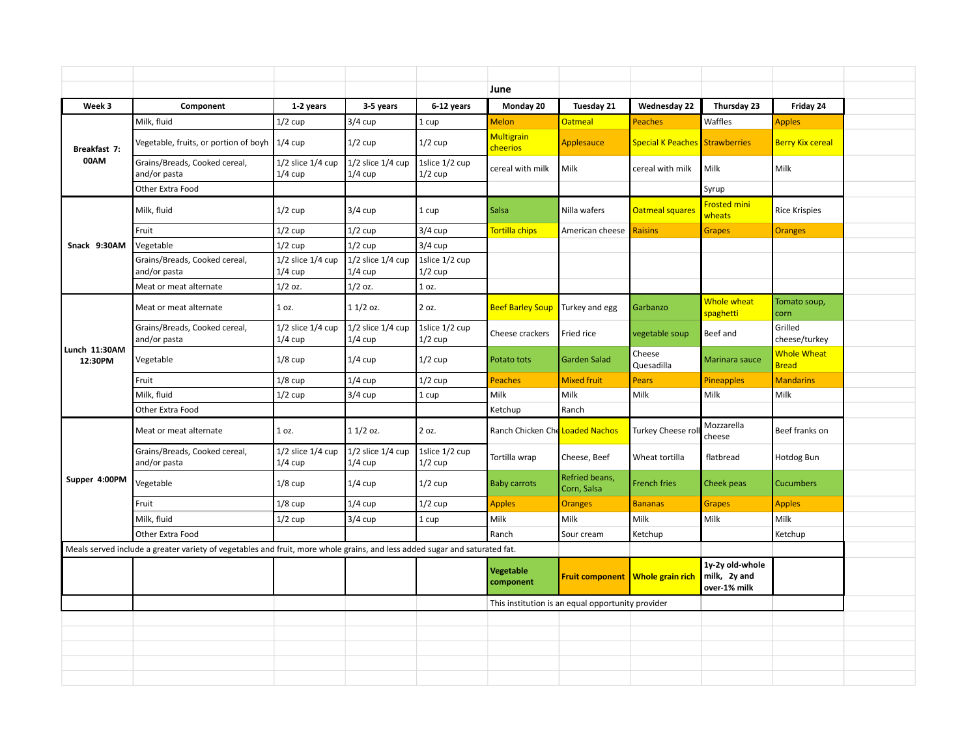|                          |                                                                                                                            |                                    |                                    |                             | June                                 |                                                   |                                         |                                                 |                             |  |
|--------------------------|----------------------------------------------------------------------------------------------------------------------------|------------------------------------|------------------------------------|-----------------------------|--------------------------------------|---------------------------------------------------|-----------------------------------------|-------------------------------------------------|-----------------------------|--|
| Week 3                   | Component                                                                                                                  | 1-2 years                          | 3-5 years                          | 6-12 years                  | Monday 20                            | Tuesday 21                                        | <b>Wednesday 22</b>                     | Thursday 23                                     | Friday 24                   |  |
|                          | Milk, fluid                                                                                                                | $1/2$ cup                          | $3/4$ cup                          | 1 cup                       | <b>Melon</b>                         | <b>Oatmeal</b>                                    | <b>Peaches</b>                          | Waffles                                         | <b>Apples</b>               |  |
| Breakfast 7:<br>00AM     | Vegetable, fruits, or portion of boyh 1/4 cup                                                                              |                                    | $1/2$ cup                          | $1/2$ cup                   | <b>Multigrain</b><br><b>cheerios</b> | Applesauce                                        | <b>Special K Peaches Strawberries</b>   |                                                 | <b>Berry Kix cereal</b>     |  |
|                          | Grains/Breads, Cooked cereal,<br>and/or pasta                                                                              | $1/2$ slice $1/4$ cup<br>$1/4$ cup | $1/2$ slice $1/4$ cup<br>$1/4$ cup | 1slice 1/2 cup<br>$1/2$ cup | cereal with milk                     | Milk                                              | cereal with milk                        | Milk                                            | Milk                        |  |
|                          | Other Extra Food                                                                                                           |                                    |                                    |                             |                                      |                                                   |                                         | Syrup                                           |                             |  |
|                          | Milk, fluid                                                                                                                | $1/2$ cup                          | $3/4$ cup                          | 1 cup                       | <b>Salsa</b>                         | Nilla wafers                                      | <b>Oatmeal squares</b>                  | <b>Frosted mini</b><br>wheats                   | <b>Rice Krispies</b>        |  |
|                          | Fruit                                                                                                                      | $1/2$ cup                          | $1/2$ cup                          | $3/4$ cup                   | <b>Tortilla chips</b>                | American cheese                                   | <b>Raisins</b>                          | <b>Grapes</b>                                   | <b>Oranges</b>              |  |
| Snack 9:30AM             | Vegetable                                                                                                                  | $1/2$ cup                          | $1/2$ cup                          | $3/4$ cup                   |                                      |                                                   |                                         |                                                 |                             |  |
|                          | Grains/Breads, Cooked cereal,<br>and/or pasta                                                                              | $1/2$ slice $1/4$ cup<br>$1/4$ cup | $1/2$ slice $1/4$ cup<br>$1/4$ cup | 1slice 1/2 cup<br>$1/2$ cup |                                      |                                                   |                                         |                                                 |                             |  |
|                          | Meat or meat alternate                                                                                                     | $1/2$ oz.                          | $1/2$ oz.                          | 1 oz.                       |                                      |                                                   |                                         |                                                 |                             |  |
|                          | Meat or meat alternate                                                                                                     | 1 oz.                              | $11/2$ oz.                         | 2 oz.                       | <b>Beef Barley Soup</b>              | Turkey and egg                                    | Garbanzo                                | Whole wheat<br>spaghetti                        | Tomato soup,<br><b>corn</b> |  |
|                          | Grains/Breads, Cooked cereal,<br>and/or pasta                                                                              | $1/2$ slice $1/4$ cup<br>$1/4$ cup | $1/2$ slice $1/4$ cup<br>$1/4$ cup | 1slice 1/2 cup<br>$1/2$ cup | Cheese crackers                      | Fried rice                                        | vegetable soup                          | Beef and                                        | Grilled<br>cheese/turkey    |  |
| Lunch 11:30AM<br>12:30PM | Vegetable                                                                                                                  | $1/8$ cup                          | $1/4$ cup                          | $1/2$ cup                   | Potato tots                          | <b>Garden Salad</b>                               | Cheese<br>Quesadilla                    | Marinara sauce                                  | Whole Wheat<br><b>Bread</b> |  |
|                          | Fruit                                                                                                                      | $1/8$ cup                          | $1/4$ cup                          | $1/2$ cup                   | Peaches                              | <b>Mixed fruit</b>                                | <b>Pears</b>                            | <b>Pineapples</b>                               | <b>Mandarins</b>            |  |
|                          | Milk, fluid                                                                                                                | $1/2$ cup                          | $3/4$ cup                          | 1 cup                       | Milk                                 | Milk                                              | Milk                                    | Milk                                            | Milk                        |  |
|                          | Other Extra Food                                                                                                           |                                    |                                    |                             | Ketchup                              | Ranch                                             |                                         |                                                 |                             |  |
|                          | Meat or meat alternate                                                                                                     | 1 oz.                              | $11/2$ oz.                         | 2 oz.                       | Ranch Chicken Che Loaded Nachos      |                                                   | Turkey Cheese rol                       | Mozzarella<br>cheese                            | Beef franks on              |  |
|                          | Grains/Breads, Cooked cereal,<br>and/or pasta                                                                              | $1/2$ slice $1/4$ cup<br>$1/4$ cup | $1/2$ slice $1/4$ cup<br>$1/4$ cup | 1slice 1/2 cup<br>$1/2$ cup | Tortilla wrap                        | Cheese, Beef                                      | Wheat tortilla                          | flatbread                                       | Hotdog Bun                  |  |
| Supper 4:00PM            | Vegetable                                                                                                                  | $1/8$ cup                          | $1/4$ cup                          | $1/2$ cup                   | <b>Baby carrots</b>                  | Refried beans,<br>Corn, Salsa                     | French fries                            | Cheek peas                                      | <b>Cucumbers</b>            |  |
|                          | Fruit                                                                                                                      | $1/8$ cup                          | $1/4$ cup                          | $1/2$ cup                   | <b>Apples</b>                        | <b>Oranges</b>                                    | <b>Bananas</b>                          | <b>Grapes</b>                                   | <b>Apples</b>               |  |
|                          | Milk, fluid                                                                                                                | $1/2$ cup                          | $3/4$ cup                          | 1 cup                       | Milk                                 | Milk                                              | Milk                                    | Milk                                            | Milk                        |  |
|                          | Other Extra Food                                                                                                           |                                    |                                    |                             | Ranch                                | Sour cream                                        | Ketchup                                 |                                                 | Ketchup                     |  |
|                          | Meals served include a greater variety of vegetables and fruit, more whole grains, and less added sugar and saturated fat. |                                    |                                    |                             |                                      |                                                   |                                         |                                                 |                             |  |
|                          |                                                                                                                            |                                    |                                    |                             | <b>Vegetable</b><br>component        |                                                   | <b>Fruit component Whole grain rich</b> | 1y-2y old-whole<br>milk, 2y and<br>over-1% milk |                             |  |
|                          |                                                                                                                            |                                    |                                    |                             |                                      | This institution is an equal opportunity provider |                                         |                                                 |                             |  |
|                          |                                                                                                                            |                                    |                                    |                             |                                      |                                                   |                                         |                                                 |                             |  |
|                          |                                                                                                                            |                                    |                                    |                             |                                      |                                                   |                                         |                                                 |                             |  |
|                          |                                                                                                                            |                                    |                                    |                             |                                      |                                                   |                                         |                                                 |                             |  |
|                          |                                                                                                                            |                                    |                                    |                             |                                      |                                                   |                                         |                                                 |                             |  |
|                          |                                                                                                                            |                                    |                                    |                             |                                      |                                                   |                                         |                                                 |                             |  |